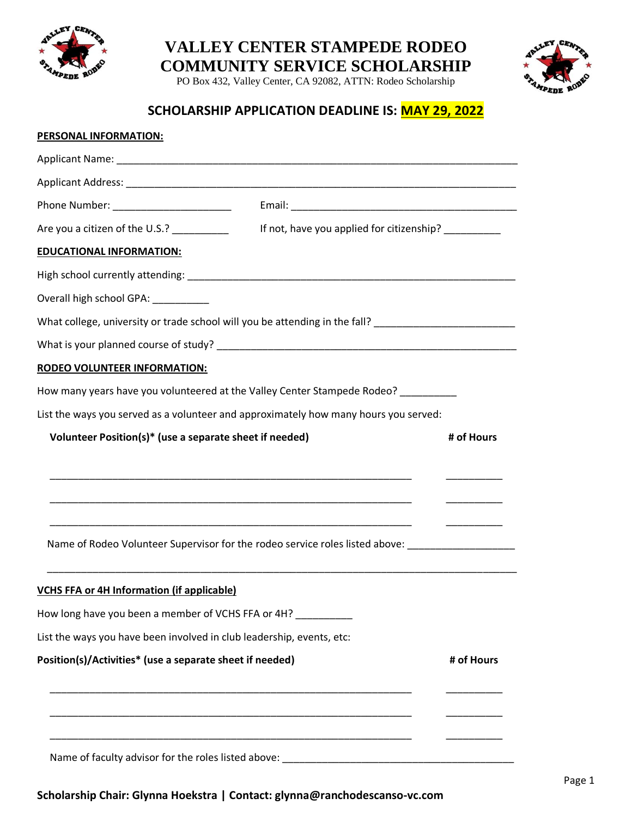

## **VALLEY CENTER STAMPEDE RODEO COMMUNITY SERVICE SCHOLARSHIP**

PO Box 432, Valley Center, CA 92082, ATTN: Rodeo Scholarship



## **SCHOLARSHIP APPLICATION DEADLINE IS: MAY 29, 2022**

| PERSONAL INFORMATION:                                                                                          |                                           |            |
|----------------------------------------------------------------------------------------------------------------|-------------------------------------------|------------|
|                                                                                                                |                                           |            |
|                                                                                                                |                                           |            |
|                                                                                                                |                                           |            |
| Are you a citizen of the U.S.? __________                                                                      | If not, have you applied for citizenship? |            |
| <b>EDUCATIONAL INFORMATION:</b>                                                                                |                                           |            |
|                                                                                                                |                                           |            |
| Overall high school GPA: __________                                                                            |                                           |            |
| What college, university or trade school will you be attending in the fall? __________________________________ |                                           |            |
|                                                                                                                |                                           |            |
| <b>RODEO VOLUNTEER INFORMATION:</b>                                                                            |                                           |            |
| How many years have you volunteered at the Valley Center Stampede Rodeo? _________                             |                                           |            |
| List the ways you served as a volunteer and approximately how many hours you served:                           |                                           |            |
| Volunteer Position(s)* (use a separate sheet if needed)                                                        |                                           | # of Hours |
|                                                                                                                |                                           |            |
|                                                                                                                |                                           |            |
|                                                                                                                |                                           |            |
|                                                                                                                |                                           |            |
| Name of Rodeo Volunteer Supervisor for the rodeo service roles listed above: ______________________            |                                           |            |
| <b>VCHS FFA or 4H Information (if applicable)</b>                                                              |                                           |            |
| How long have you been a member of VCHS FFA or 4H?                                                             |                                           |            |
| List the ways you have been involved in club leadership, events, etc:                                          |                                           |            |
| Position(s)/Activities* (use a separate sheet if needed)                                                       |                                           | # of Hours |
|                                                                                                                |                                           |            |
|                                                                                                                |                                           |            |
|                                                                                                                |                                           |            |
| Name of faculty advisor for the roles listed above: ____________________________                               |                                           |            |